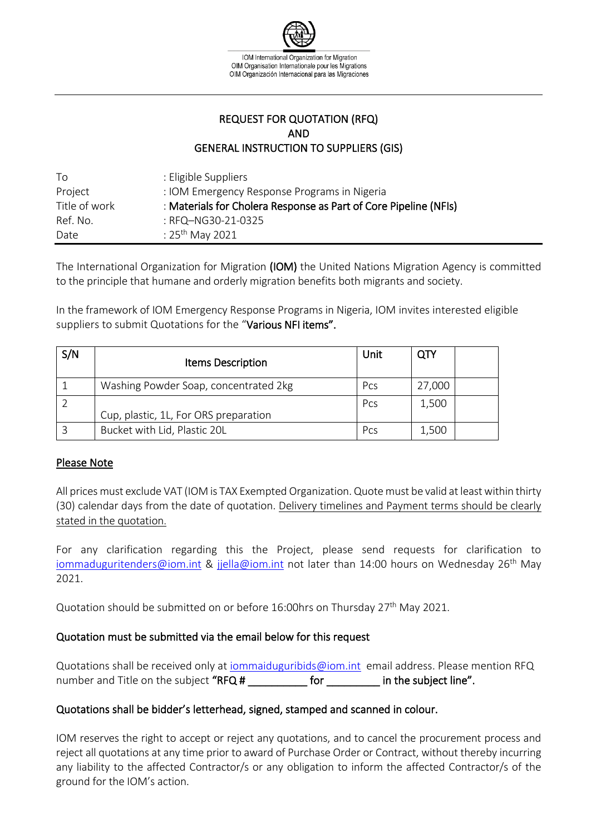

## REQUEST FOR QUOTATION (RFQ) AND GENERAL INSTRUCTION TO SUPPLIERS (GIS)

| Τo            | : Eligible Suppliers                                             |
|---------------|------------------------------------------------------------------|
| Project       | : IOM Emergency Response Programs in Nigeria                     |
| Title of work | : Materials for Cholera Response as Part of Core Pipeline (NFIs) |
| Ref. No.      | : RFQ-NG30-21-0325                                               |
| Date          | : 25 <sup>th</sup> May 2021                                      |

The International Organization for Migration (IOM) the United Nations Migration Agency is committed to the principle that humane and orderly migration benefits both migrants and society.

In the framework of IOM Emergency Response Programs in Nigeria, IOM invites interested eligible suppliers to submit Quotations for the "Various NFI items".

| S/N | <b>Items Description</b>              | Unit       | <b>QTY</b> |  |
|-----|---------------------------------------|------------|------------|--|
|     | Washing Powder Soap, concentrated 2kg | Pcs        | 27,000     |  |
|     | Cup, plastic, 1L, For ORS preparation | Pcs        | 1,500      |  |
|     | Bucket with Lid, Plastic 20L          | <b>Pcs</b> | 1,500      |  |

### Please Note

All prices must exclude VAT (IOM is TAX Exempted Organization. Quote must be valid at least within thirty (30) calendar days from the date of quotation. Delivery timelines and Payment terms should be clearly stated in the quotation.

For any clarification regarding this the Project, please send requests for clarification to [iommaduguritenders@iom.int](mailto:iommaduguritenders@iom.int) & [jjella@iom.int](mailto:jjella@iom.int) not later than 14:00 hours on Wednesday 26<sup>th</sup> May 2021.

Quotation should be submitted on or before 16:00hrs on Thursday 27<sup>th</sup> May 2021.

## Quotation must be submitted via the email below for this request

Quotations shall be received only at [iommaiduguribids@iom.int](mailto:iommaiduguribids@iom.int) email address. Please mention RFQ number and Title on the subject "RFQ # The subject line".

### Quotations shall be bidder's letterhead, signed, stamped and scanned in colour.

IOM reserves the right to accept or reject any quotations, and to cancel the procurement process and reject all quotations at any time prior to award of Purchase Order or Contract, without thereby incurring any liability to the affected Contractor/s or any obligation to inform the affected Contractor/s of the ground for the IOM's action.